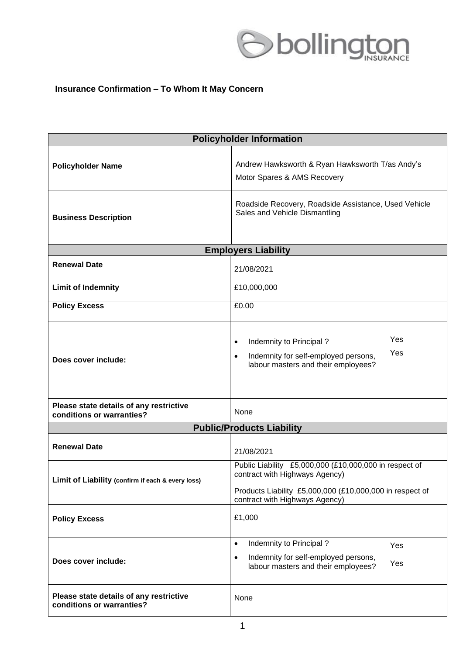

## **Insurance Confirmation – To Whom It May Concern**

| <b>Policyholder Information</b>                                      |                                                                                                                                                                                        |            |
|----------------------------------------------------------------------|----------------------------------------------------------------------------------------------------------------------------------------------------------------------------------------|------------|
| <b>Policyholder Name</b>                                             | Andrew Hawksworth & Ryan Hawksworth T/as Andy's<br>Motor Spares & AMS Recovery                                                                                                         |            |
| <b>Business Description</b>                                          | Roadside Recovery, Roadside Assistance, Used Vehicle<br>Sales and Vehicle Dismantling                                                                                                  |            |
| <b>Employers Liability</b>                                           |                                                                                                                                                                                        |            |
| <b>Renewal Date</b>                                                  | 21/08/2021                                                                                                                                                                             |            |
| <b>Limit of Indemnity</b>                                            | £10,000,000                                                                                                                                                                            |            |
| <b>Policy Excess</b>                                                 | £0.00                                                                                                                                                                                  |            |
| Does cover include:                                                  | Indemnity to Principal?<br>$\bullet$<br>Indemnity for self-employed persons,<br>$\bullet$<br>labour masters and their employees?                                                       | Yes<br>Yes |
| Please state details of any restrictive<br>conditions or warranties? | None                                                                                                                                                                                   |            |
| <b>Public/Products Liability</b>                                     |                                                                                                                                                                                        |            |
| <b>Renewal Date</b>                                                  | 21/08/2021                                                                                                                                                                             |            |
| Limit of Liability (confirm if each & every loss)                    | Public Liability £5,000,000 (£10,000,000 in respect of<br>contract with Highways Agency)<br>Products Liability £5,000,000 (£10,000,000 in respect of<br>contract with Highways Agency) |            |
| <b>Policy Excess</b>                                                 | £1,000                                                                                                                                                                                 |            |
| Does cover include:                                                  | Indemnity to Principal?<br>$\bullet$<br>Indemnity for self-employed persons,<br>$\bullet$<br>labour masters and their employees?                                                       | Yes<br>Yes |
| Please state details of any restrictive<br>conditions or warranties? | None                                                                                                                                                                                   |            |